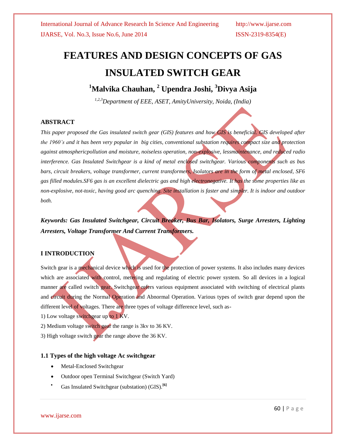# **FEATURES AND DESIGN CONCEPTS OF GAS INSULATED SWITCH GEAR**

## **<sup>1</sup>Malvika Chauhan, <sup>2</sup> Upendra Joshi, <sup>3</sup>Divya Asija**

*1,2,3Department of EEE, ASET, AmityUniversity, Noida, (India)*

### **ABSTRACT**

*This paper proposed the Gas insulated switch gear (GIS) features and how GIS is beneficial. GIS developed after the 1960's and it has been very popular in big cities, conventional substation requires compact size and protection against atmosphericpollution and moisture, noiseless operation, non-explosive, lessmaintenance, and reduced radio interference. Gas Insulated Switchgear is a kind of metal enclosed switchgear. Various components such as bus bars, circuit breakers, voltage transformer, current transformers, Isolators are in the form of metal enclosed, SF6 gas filled modules.SF6 gas is an excellent dielectric gas and high electronegative. It has the some properties like as non-explosive, not-toxic, having good arc quenching. Site installation is faster and simpler. It is indoor and outdoor both.*

*Keywords: Gas Insulated Switchgear, Circuit Breaker, Bus Bar, Isolators, Surge Arresters, Lighting Arresters, Voltage Transformer And Current Transformers.*

### **I INTRODUCTION**

Switch gear is a mechanical device which is used for the protection of power systems. It also includes many devices which are associated with control, metering and regulating of electric power system. So all devices in a logical manner are called switch gear. Switchgear refers various equipment associated with switching of electrical plants and circuit during the Normal Operation and Abnormal Operation. Various types of switch gear depend upon the different level of voltages. There are three types of voltage difference level, such as-

1) Low voltage switchgear up to 1 KV.

2) Medium voltage switch gear the range is 3kv to 36 KV.

3) High voltage switch gear the range above the 36 KV.

### **1.1 Types of the high voltage Ac switchgear**

- Metal-Enclosed Switchgear
- Outdoor open Terminal Switchgear (Switch Yard)
- Gas Insulated Switchgear (substation) (GIS).**[6]**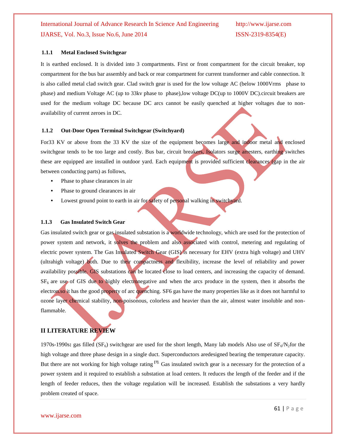### **1.1.1 Metal Enclosed Switchgear**

It is earthed enclosed. It is divided into 3 compartments. First or front compartment for the circuit breaker, top compartment for the bus bar assembly and back or rear compartment for current transformer and cable connection. It is also called metal clad switch gear. Clad switch gear is used for the low voltage AC (below 1000Vrms phase to phase) and medium Voltage AC (up to 33kv phase to phase),low voltage DC(up to 1000V DC).circuit breakers are used for the medium voltage DC because DC arcs cannot be easily quenched at higher voltages due to nonavailability of current zeroes in DC.

#### **1.1.2 Out-Door Open Terminal Switchgear (Switchyard)**

For33 KV or above from the 33 KV the size of the equipment becomes large and indoor metal and enclosed switchgear tends to be too large and costly. Bus bar, circuit breakers, Isolators surge arresters, earthing switches these are equipped are installed in outdoor yard. Each equipment is provided sufficient clearances (gap in the air between conducting parts) as follows,

- **•** Phase to phase clearances in air
- **•** Phase to ground clearances in air
- Lowest ground point to earth in air for safety of personal walking in switchyard.

#### **1.1.3 Gas Insulated Switch Gear**

Gas insulated switch gear or gas insulated substation is a worldwide technology, which are used for the protection of power system and network, it solves the problem and also associated with control, metering and regulating of electric power system. The Gas Insulated Switch Gear (GIS) is necessary for EHV (extra high voltage) and UHV (ultrahigh voltage) both. Due to their compactness and flexibility, increase the level of reliability and power availability possible. GIS substations can be located close to load centers, and increasing the capacity of demand.  $SF<sub>6</sub>$  are use of GIS due to highly electronegative and when the arcs produce in the system, then it absorbs the electron.so it has the good property of arc quenching. SF6 gas have the many properties like as it does not harmful to ozone layer chemical stability, non-poisonous, colorless and heavier than the air, almost water insoluble and nonflammable.

### **II LITERATURE REVIEW**

1970s-1990s: gas filled (SF<sub>6</sub>) switchgear are used for the short length, Many lab models Also use of SF<sub>6</sub>/N<sub>2</sub>for the high voltage and three phase design in a single duct. Superconductors aredesigned bearing the temperature capacity. But there are not working for high voltage rating **[7]**. Gas insulated switch gear is a necessary for the protection of a power system and it required to establish a substation at load centers. It reduces the length of the feeder and if the length of feeder reduces, then the voltage regulation will be increased. Establish the substations a very hardly problem created of space.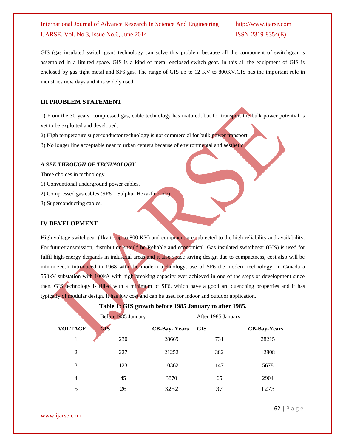GIS (gas insulated switch gear) technology can solve this problem because all the component of switchgear is assembled in a limited space. GIS is a kind of metal enclosed switch gear. In this all the equipment of GIS is enclosed by gas tight metal and SF6 gas. The range of GIS up to 12 KV to 800KV.GIS has the important role in industries now days and it is widely used.

### **III PROBLEM STATEMENT**

1) From the 30 years, compressed gas, cable technology has matured, but for transport the bulk power potential is yet to be exploited and developed.

2) High temperature superconductor technology is not commercial for bulk power transport.

3) No longer line acceptable near to urban centers because of environmental and aesthetic.

### *A SEE THROUGH OF TECHNOLOGY*

Three choices in technology

- 1) Conventional underground power cables.
- 2) Compressed gas cables (SF6 Sulphur Hexa-fluoride).
- 3) Superconducting cables.

### **IV DEVELOPMENT**

High voltage switchgear (1kv to up to 800 KV) and equipment are subjected to the high reliability and availability. For futuretransmission, distribution should be Reliable and economical. Gas insulated switchgear (GIS) is used for fulfil high-energy demands in industrial areas and it also space saving design due to compactness, cost also will be minimized.It introduced in 1968 with the modern technology, use of SF6 the modern technology, In Canada a 550kV substation with 100kA with high breaking capacity ever achieved in one of the steps of development since then. GIS technology is filled with a minimum of SF6, which have a good arc quenching properties and it has typically of modular design. It has low cost and can be used for indoor and outdoor application.

|                | Before1985 January |                     | After 1985 January |                     |
|----------------|--------------------|---------------------|--------------------|---------------------|
| <b>VOLTAGE</b> | <b>GIS</b>         | <b>CB-Bay-Years</b> | <b>GIS</b>         | <b>CB-Bay-Years</b> |
|                | 230                | 28669               | 731                | 28215               |
| $\mathcal{L}$  | 227                | 21252               | 382                | 12808               |
| 3              | 123                | 10362               | 147                | 5678                |
| 4              | 45                 | 3870                | 65                 | 2904                |
| 5              | 26                 | 3252                | 37                 | 1273                |

|  |  |  |  |  | Table 1: GIS growth before 1985 January to after 1985. |  |  |  |
|--|--|--|--|--|--------------------------------------------------------|--|--|--|
|--|--|--|--|--|--------------------------------------------------------|--|--|--|

www.ijarse.com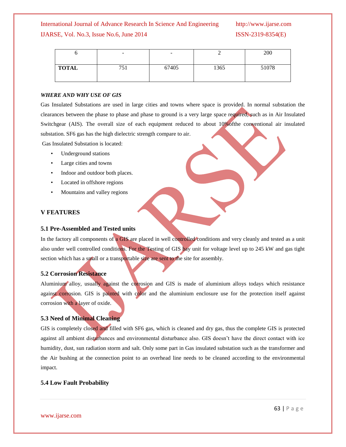|              | $\overline{\phantom{a}}$ | $\overline{\phantom{a}}$ |      | 200   |
|--------------|--------------------------|--------------------------|------|-------|
| <b>TOTAL</b> | 751                      | 67405                    | 1365 | 51078 |

### *WHERE AND WHY USE OF GIS*

Gas Insulated Substations are used in large cities and towns where space is provided. In normal substation the clearances between the phase to phase and phase to ground is a very large space required, such as in Air Insulated Switchgear (AIS). The overall size of each equipment reduced to about 10% of the conventional air insulated substation. SF6 gas has the high dielectric strength compare to air.

Gas Insulated Substation is located:

- Underground stations
- Large cities and towns
- Indoor and outdoor both places.
- Located in offshore regions
- Mountains and valley regions

### **V FEATURES**

### **5.1 Pre-Assembled and Tested units**

In the factory all components of a GIS are placed in well controlled conditions and very cleanly and tested as a unit also under well controlled conditions. For the Testing of GIS bay unit for voltage level up to 245 kW and gas tight section which has a small or a transportable size are sent to the site for assembly.

### **5.2 Corrosion Resistance**

Aluminium alloy, usually against the corrosion and GIS is made of aluminium alloys todays which resistance against corrosion. GIS is painted with color and the aluminium enclosure use for the protection itself against corrosion with a layer of oxide.

### **5.3 Need of Minimal Cleaning**

GIS is completely closed and filled with SF6 gas, which is cleaned and dry gas, thus the complete GIS is protected against all ambient disturbances and environmental disturbance also. GIS doesn't have the direct contact with ice humidity, dust, sun radiation storm and salt. Only some part in Gas insulated substation such as the transformer and the Air bushing at the connection point to an overhead line needs to be cleaned according to the environmental impact.

### **5.4 Low Fault Probability**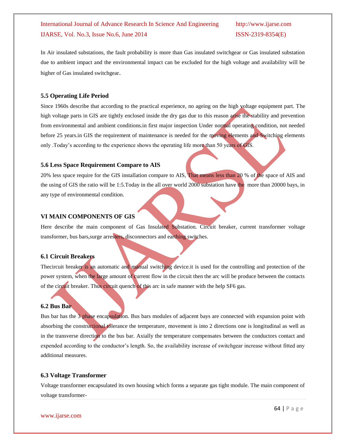In Air insulated substations, the fault probability is more than Gas insulated switchgear or Gas insulated substation due to ambient impact and the environmental impact can be excluded for the high voltage and availability will be higher of Gas insulated switchgear.

### **5.5 Operating Life Period**

Since 1960s describe that according to the practical experience, no ageing on the high voltage equipment part. The high voltage parts in GIS are tightly enclosed inside the dry gas due to this reason arise the stability and prevention from environmental and ambient conditions.in first major inspection Under normal operating condition, not needed before 25 years.in GIS the requirement of maintenance is needed for the moving elements and Switching elements only .Today's according to the experience shows the operating life more than 50 years of GIS.

### **5.6 Less Space Requirement Compare to AIS**

20% less space require for the GIS installation compare to AIS, That means less than 20 % of the space of AIS and the using of GIS the ratio will be 1:5.Today in the all over world 2000 substation have the more than 20000 bays, in any type of environmental condition.

### **VI MAIN COMPONENTS OF GIS**

Here describe the main component of Gas Insulated Substation. Circuit breaker, current transformer voltage transformer, bus bars,surge arresters, disconnectors and earthing switches.

### **6.1 Circuit Breakers**

Thecircuit breaker is an automatic and manual switching device.it is used for the controlling and protection of the power system, when the large amount of current flow in the circuit then the arc will be produce between the contacts of the circuit breaker. Thus circuit quench of this arc in safe manner with the help SF6 gas.

### **6.2 Bus Bar**

Bus bar has the 3 phase encapsulation. Bus bars modules of adjacent bays are connected with expansion point with absorbing the constructional tolerance the temperature, movement is into 2 directions one is longitudinal as well as in the transverse direction to the bus bar. Axially the temperature compensates between the conductors contact and expended according to the conductor's length. So, the availability increase of switchgear increase without fitted any additional measures.

### **6.3 Voltage Transformer**

Voltage transformer encapsulated its own housing which forms a separate gas tight module. The main component of voltage transformer-

www.ijarse.com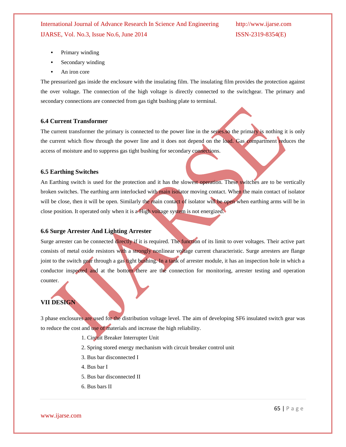- **•** Primary winding
- **•** Secondary winding
- **•** An iron core

The pressurized gas inside the enclosure with the insulating film. The insulating film provides the protection against the over voltage. The connection of the high voltage is directly connected to the switchgear. The primary and secondary connections are connected from gas tight bushing plate to terminal.

### **6.4 Current Transformer**

The current transformer the primary is connected to the power line in the series.so the primary is nothing it is only the current which flow through the power line and it does not depend on the load. Gas compartment reduces the access of moisture and to suppress gas tight bushing for secondary connections.

### **6.5 Earthing Switches**

An Earthing switch is used for the protection and it has the slowest operation. These switches are to be vertically broken switches. The earthing arm interlocked with main isolator moving contact. When the main contact of isolator will be close, then it will be open. Similarly the main contact of isolator will be open when earthing arms will be in close position. It operated only when it is a High voltage system is not energized.

### **6.6 Surge Arrester And Lighting Arrester**

Surge arrester can be connected directly if it is required. The function of its limit to over voltages. Their active part consists of metal oxide resistors with a strongly nonlinear voltage current characteristic. Surge arresters are flange joint to the switch gear through a gas tight bushing. In a tank of arrester module, it has an inspection hole in which a conductor inspected and at the bottom there are the connection for monitoring, arrester testing and operation counter.

### **VII DESIGN**

3 phase enclosures are used for the distribution voltage level. The aim of developing SF6 insulated switch gear was to reduce the cost and use of materials and increase the high reliability.

- 1. Circuit Breaker Interrupter Unit
- 2. Spring stored energy mechanism with circuit breaker control unit
- 3. Bus bar disconnected I
- 4. Bus bar I
- 5. Bus bar disconnected II
- 6. Bus bars II

www.ijarse.com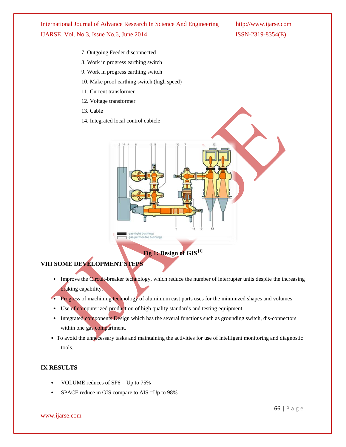- 7. Outgoing Feeder disconnected
- 8. Work in progress earthing switch
- 9. Work in progress earthing switch
- 10. Make proof earthing switch (high speed)
- 11. Current transformer
- 12. Voltage transformer
- 13. Cable
- 14. Integrated local control cubicle



**Fig 1: Design of GIS [1]**

## **VIII SOME DEVELOPMENT STEPS**

- Improve the Circuit-breaker technology, which reduce the number of interrupter units despite the increasing braking capability.
- Progress of machining technology of aluminium cast parts uses for the minimized shapes and volumes
- Use of computerized production of high quality standards and testing equipment.
- Integrated components Design which has the several functions such as grounding switch, dis-connectors within one gas compartment.
- To avoid the unnecessary tasks and maintaining the activities for use of intelligent monitoring and diagnostic tools.

### **IX RESULTS**

- VOLUME reduces of  $SF6 = Up$  to 75%
- SPACE reduce in GIS compare to AIS =Up to 98%